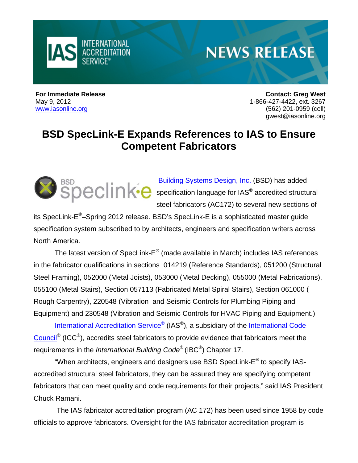

## **NEWS RELEASE**

**For Immediate Release Contact: Greg West**  May 9, 2012 1-866-427-4422, ext. 3267 [www.iasonline.org](http://www.iasonline.org) (562) 201-0959 (cell) [gwest@iasonline.org](mailto:gwest@iasonline.org)

## **BSD SpecLink-E Expands References to IAS to Ensure Competent Fabricators**



[Building Systems Design, Inc. \(](http://www.bsdsoftlink.com/speclink/speclink.htm?_kk=BSD%20speclink&_kt=0f9c3c22-b1ba-4859-98d1-fc0b123b7742)BSD) has added specification language for IAS $^{\circ}$  accredited structural steel fabricators (AC172) to several new sections of

its SpecLink-E®–Spring 2012 release. BSD's SpecLink-E is a sophisticated master guide specification system subscribed to by architects, engineers and specification writers across North America.

The latest version of SpecLink-E® (made available in March) includes IAS references in the fabricator qualifications in sections 014219 (Reference Standards), 051200 (Structural Steel Framing), 052000 (Metal Joists), 053000 (Metal Decking), 055000 (Metal Fabrications), 055100 (Metal Stairs), Section 057113 (Fabricated Metal Spiral Stairs), Section 061000 ( Rough Carpentry), 220548 (Vibration and Seismic Controls for Plumbing Piping and Equipment) and 230548 (Vibration and Seismic Controls for HVAC Piping and Equipment.)

International Accreditation Service<sup>®</sup> (IAS<sup>®</sup>), a subsidiary of the International Code [Council® \(](http://www.iccsafe.org/Pages/default.aspx)ICC®), accredits steel fabricators to provide evidence that fabricators meet the requirements in the *International Building Code®* (IBC®) Chapter 17.

"When architects, engineers and designers use BSD SpecLink- $E^{\circledast}$  to specify IASaccredited structural steel fabricators, they can be assured they are specifying competent fabricators that can meet quality and code requirements for their projects," said IAS President Chuck Ramani.

 The IAS fabricator accreditation program (AC 172) has been used since 1958 by code officials to approve fabricators. Oversight for the IAS fabricator accreditation program is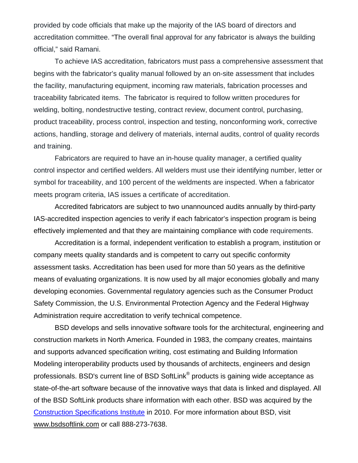provided by code officials that make up the majority of the IAS board of directors and accreditation committee. "The overall final approval for any fabricator is always the building official," said Ramani.

To achieve IAS accreditation, fabricators must pass a comprehensive assessment that begins with the fabricator's quality manual followed by an on-site assessment that includes the facility, manufacturing equipment, incoming raw materials, fabrication processes and traceability fabricated items. The fabricator is required to follow written procedures for welding, bolting, nondestructive testing, contract review, document control, purchasing, product traceability, process control, inspection and testing, nonconforming work, corrective actions, handling, storage and delivery of materials, internal audits, control of quality records and training.

Fabricators are required to have an in-house quality manager, a certified quality control inspector and certified welders. All welders must use their identifying number, letter or symbol for traceability, and 100 percent of the weldments are inspected. When a fabricator meets program criteria, IAS issues a certificate of accreditation.

Accredited fabricators are subject to two unannounced audits annually by third-party IAS-accredited inspection agencies to verify if each fabricator's inspection program is being effectively implemented and that they are maintaining compliance with code requirements.

Accreditation is a formal, independent verification to establish a program, institution or company meets quality standards and is competent to carry out specific conformity assessment tasks. Accreditation has been used for more than 50 years as the definitive means of evaluating organizations. It is now used by all major economies globally and many developing economies. Governmental regulatory agencies such as the Consumer Product Safety Commission, the U.S. Environmental Protection Agency and the Federal Highway Administration require accreditation to verify technical competence.

BSD develops and sells innovative software tools for the architectural, engineering and construction markets in North America. Founded in 1983, the company creates, maintains and supports advanced specification writing, cost estimating and Building Information Modeling interoperability products used by thousands of architects, engineers and design professionals. BSD's current line of BSD SoftLink® products is gaining wide acceptance as state-of-the-art software because of the innovative ways that data is linked and displayed. All of the BSD SoftLink products share information with each other. BSD was acquired by the [Construction Specifications Institute i](http://www.csinet.org/)n 2010. For more information about BSD, visit [www.bsdsoftlink.com or](http://www.bsdsoftlink.com) call 888-273-7638.